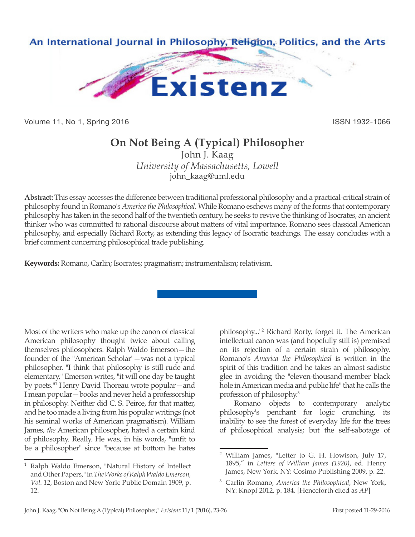

Volume 11, No 1, Spring 2016 **ISSN 1932-1066** ISSN 1932-1066

## **On Not Being A (Typical) Philosopher**

John J. Kaag *University of Massachusetts, Lowell* john\_kaag@uml.edu

**Abstract:** This essay accesses the difference between traditional professional philosophy and a practical-critical strain of philosophy found in Romano's *America the Philosophical*. While Romano eschews many of the forms that contemporary philosophy has taken in the second half of the twentieth century, he seeks to revive the thinking of Isocrates, an ancient thinker who was committed to rational discourse about matters of vital importance. Romano sees classical American philosophy, and especially Richard Rorty, as extending this legacy of Isocratic teachings. The essay concludes with a brief comment concerning philosophical trade publishing.

**Keywords:** Romano, Carlin; Isocrates; pragmatism; instrumentalism; relativism.

Most of the writers who make up the canon of classical American philosophy thought twice about calling themselves philosophers. Ralph Waldo Emerson—the founder of the "American Scholar"—was not a typical philosopher. "I think that philosophy is still rude and elementary," Emerson writes, "it will one day be taught by poets."1 Henry David Thoreau wrote popular—and I mean popular—books and never held a professorship in philosophy. Neither did C. S. Peirce, for that matter, and he too made a living from his popular writings (not his seminal works of American pragmatism). William James, *the* American philosopher, hated a certain kind of philosophy. Really. He was, in his words, "unfit to be a philosopher" since "because at bottom he hates

philosophy..."2 Richard Rorty, forget it. The American intellectual canon was (and hopefully still is) premised on its rejection of a certain strain of philosophy. Romano's *America the Philosophical* is written in the spirit of this tradition and he takes an almost sadistic glee in avoiding the "eleven-thousand-member black hole in American media and public life" that he calls the profession of philosophy.3

Romano objects to contemporary analytic philosophy's penchant for logic crunching, its inability to see the forest of everyday life for the trees of philosophical analysis; but the self-sabotage of

<sup>1</sup> Ralph Waldo Emerson, "Natural History of Intellect and Other Papers," in *The Works of Ralph Waldo Emerson, Vol. 12*, Boston and New York: Public Domain 1909, p. 12.

<sup>2</sup> William James, "Letter to G. H. Howison, July 17, 1895," in *Letters of William James (1920)*, ed. Henry James, New York, NY: Cosimo Publishing 2009, p. 22.

<sup>3</sup> Carlin Romano, *America the Philosophical*, New York, NY: Knopf 2012, p. 184. [Henceforth cited as *AP*]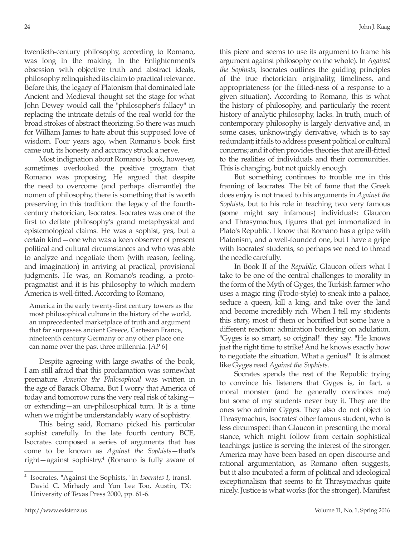twentieth-century philosophy, according to Romano, was long in the making. In the Enlightenment's obsession with objective truth and abstract ideals, philosophy relinquished its claim to practical relevance. Before this, the legacy of Platonism that dominated late Ancient and Medieval thought set the stage for what John Dewey would call the "philosopher's fallacy" in replacing the intricate details of the real world for the broad strokes of abstract theorizing. So there was much for William James to hate about this supposed love of wisdom. Four years ago, when Romano's book first came out, its honesty and accuracy struck a nerve.

Most indignation about Romano's book, however, sometimes overlooked the positive program that Romano was proposing. He argued that despite the need to overcome (and perhaps dismantle) the nomen of philosophy, there is something that is worth preserving in this tradition: the legacy of the fourthcentury rhetorician, Isocrates. Isocrates was one of the first to deflate philosophy's grand metaphysical and epistemological claims. He was a sophist, yes, but a certain kind—one who was a keen observer of present political and cultural circumstances and who was able to analyze and negotiate them (with reason, feeling, and imagination) in arriving at practical, provisional judgments. He was, on Romano's reading, a protopragmatist and it is his philosophy to which modern America is well-fitted. According to Romano,

America in the early twenty-first century towers as the most philosophical culture in the history of the world, an unprecedented marketplace of truth and argument that far surpasses ancient Greece, Cartesian France, nineteenth century Germany or any other place one can name over the past three millennia. [*AP* 6]

Despite agreeing with large swaths of the book, I am still afraid that this proclamation was somewhat premature. *America the Philosophical* was written in the age of Barack Obama. But I worry that America of today and tomorrow runs the very real risk of taking or extending—an un-philosophical turn. It is a time when we might be understandably wary of sophistry.

This being said, Romano picked his particular sophist carefully. In the late fourth century BCE, Isocrates composed a series of arguments that has come to be known as *Against the Sophists*—that's right—against sophistry.4 (Romano is fully aware of this piece and seems to use its argument to frame his argument against philosophy on the whole). In *Against the Sophists*, Isocrates outlines the guiding principles of the true rhetorician: originality, timeliness, and appropriateness (or the fitted-ness of a response to a given situation). According to Romano, this is what the history of philosophy, and particularly the recent history of analytic philosophy, lacks. In truth, much of contemporary philosophy is largely derivative and, in some cases, unknowingly derivative, which is to say redundant; it fails to address present political or cultural concerns; and it often provides theories that are ill-fitted to the realities of individuals and their communities. This is changing, but not quickly enough.

But something continues to trouble me in this framing of Isocrates. The bit of fame that the Greek does enjoy is not traced to his arguments in *Against the Sophists*, but to his role in teaching two very famous (some might say infamous) individuals: Glaucon and Thrasymachus, figures that get immortalized in Plato's Republic. I know that Romano has a gripe with Platonism, and a well-founded one, but I have a gripe with Isocrates' students, so perhaps we need to thread the needle carefully.

In Book II of the *Republic*, Glaucon offers what I take to be one of the central challenges to morality in the form of the Myth of Gyges, the Turkish farmer who uses a magic ring (Frodo-style) to sneak into a palace, seduce a queen, kill a king, and take over the land and become incredibly rich. When I tell my students this story, most of them or horrified but some have a different reaction: admiration bordering on adulation. "Gyges is so smart, so original!" they say. "He knows just the right time to strike! And he knows exactly how to negotiate the situation. What a genius!" It is almost like Gyges read *Against the Sophists*.

Socrates spends the rest of the Republic trying to convince his listeners that Gyges is, in fact, a moral monster (and he generally convinces me) but some of my students never buy it. They are the ones who admire Gyges. They also do not object to Thrasymachus, Isocrates' other famous student, who is less circumspect than Glaucon in presenting the moral stance, which might follow from certain sophistical teachings: justice is serving the interest of the stronger. America may have been based on open discourse and rational argumentation, as Romano often suggests, but it also incubated a form of political and ideological exceptionalism that seems to fit Thrasymachus quite nicely. Justice is what works (for the stronger). Manifest

<sup>4</sup> Isocrates, "Against the Sophists," in *Isocrates I*, transl. David C. Mirhady and Yun Lee Too, Austin, TX: University of Texas Press 2000, pp. 61-6.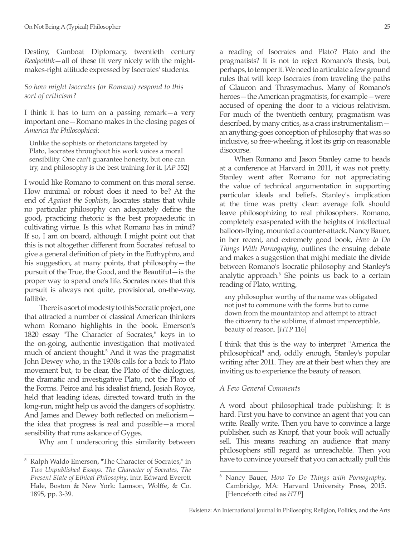Destiny, Gunboat Diplomacy, twentieth century *Realpolitik*—all of these fit very nicely with the mightmakes-right attitude expressed by Isocrates' students.

## *So how might Isocrates (or Romano) respond to this sort of criticism?*

I think it has to turn on a passing remark—a very important one—Romano makes in the closing pages of *America the Philosophical*:

Unlike the sophists or rhetoricians targeted by Plato, Isocrates throughout his work voices a moral sensibility. One can't guarantee honesty, but one can try, and philosophy is the best training for it. [*AP* 552]

I would like Romano to comment on this moral sense. How minimal or robust does it need to be? At the end of *Against the Sophists*, Isocrates states that while no particular philosophy can adequately define the good, practicing rhetoric is the best propaedeutic in cultivating virtue. Is this what Romano has in mind? If so, I am on board, although I might point out that this is not altogether different from Socrates' refusal to give a general definition of piety in the Euthyphro, and his suggestion, at many points, that philosophy—the pursuit of the True, the Good, and the Beautiful—is the proper way to spend one's life. Socrates notes that this pursuit is always not quite, provisional, on-the-way, fallible.

There is a sort of modesty to this Socratic project, one that attracted a number of classical American thinkers whom Romano highlights in the book. Emerson's 1820 essay "The Character of Socrates," keys in to the on-going, authentic investigation that motivated much of ancient thought.<sup>5</sup> And it was the pragmatist John Dewey who, in the 1930s calls for a back to Plato movement but, to be clear, the Plato of the dialogues, the dramatic and investigative Plato, not the Plato of the Forms. Peirce and his idealist friend, Josiah Royce, held that leading ideas, directed toward truth in the long-run, might help us avoid the dangers of sophistry. And James and Dewey both reflected on meliorism the idea that progress is real and possible—a moral sensibility that runs askance of Gyges.

Why am I underscoring this similarity between

a reading of Isocrates and Plato? Plato and the pragmatists? It is not to reject Romano's thesis, but, perhaps, to temper it. We need to articulate a few ground rules that will keep Isocrates from traveling the paths of Glaucon and Thrasymachus. Many of Romano's heroes—the American pragmatists, for example—were accused of opening the door to a vicious relativism. For much of the twentieth century, pragmatism was described, by many critics, as a crass instrumentalism an anything-goes conception of philosophy that was so inclusive, so free-wheeling, it lost its grip on reasonable discourse.

When Romano and Jason Stanley came to heads at a conference at Harvard in 2011, it was not pretty. Stanley went after Romano for not appreciating the value of technical argumentation in supporting particular ideals and beliefs. Stanley's implication at the time was pretty clear: average folk should leave philosophizing to real philosophers. Romano, completely exasperated with the heights of intellectual balloon-flying, mounted a counter-attack. Nancy Bauer, in her recent, and extremely good book, *How to Do Things With Pornography*, outlines the ensuing debate and makes a suggestion that might mediate the divide between Romano's Isocratic philosophy and Stanley's analytic approach.6 She points us back to a certain reading of Plato, writing,

any philosopher worthy of the name was obligated not just to commune with the forms but to come down from the mountaintop and attempt to attract the citizenry to the sublime, if almost imperceptible, beauty of reason. [*HTP* 116]

I think that this is the way to interpret "America the philosophical" and, oddly enough, Stanley's popular writing after 2011. They are at their best when they are inviting us to experience the beauty of reason.

## *A Few General Comments*

A word about philosophical trade publishing: It is hard. First you have to convince an agent that you can write. Really write. Then you have to convince a large publisher, such as Knopf, that your book will actually sell. This means reaching an audience that many philosophers still regard as unreachable. Then you have to convince yourself that you can actually pull this

<sup>5</sup> Ralph Waldo Emerson, "The Character of Socrates," in *Two Unpublished Essays: The Character of Socrates, The Present State of Ethical Philosophy*, intr. Edward Everett Hale, Boston & New York: Lamson, Wolffe, & Co. 1895, pp. 3-39.

<sup>6</sup> Nancy Bauer, *How To Do Things with Pornography*, Cambridge, MA: Harvard University Press, 2015. [Henceforth cited as *HTP*]